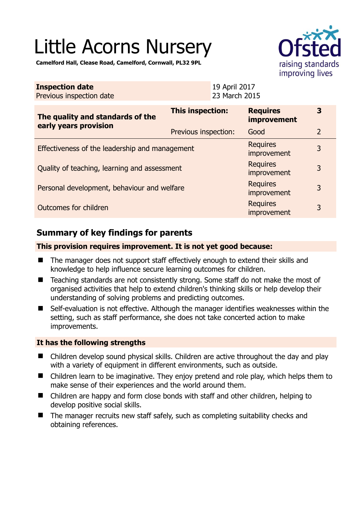# Little Acorns Nursery

**Camelford Hall, Clease Road, Camelford, Cornwall, PL32 9PL** 

| <b>Inspection date</b><br>Previous inspection date |                      | 19 April 2017<br>23 March 2015 |                                       |                |
|----------------------------------------------------|----------------------|--------------------------------|---------------------------------------|----------------|
| The quality and standards of the                   | This inspection:     |                                | <b>Requires</b><br><b>improvement</b> | 3              |
| early years provision                              | Previous inspection: |                                | Good                                  | $\overline{2}$ |
| Effectiveness of the leadership and management     |                      |                                | <b>Requires</b><br>improvement        | 3              |
| Quality of teaching, learning and assessment       |                      |                                | <b>Requires</b><br>improvement        | 3              |
| Personal development, behaviour and welfare        |                      |                                | <b>Requires</b><br>improvement        | 3              |
| Outcomes for children                              |                      |                                | <b>Requires</b><br>improvement        | 3              |

# **Summary of key findings for parents**

## **This provision requires improvement. It is not yet good because:**

- The manager does not support staff effectively enough to extend their skills and knowledge to help influence secure learning outcomes for children.
- Teaching standards are not consistently strong. Some staff do not make the most of organised activities that help to extend children's thinking skills or help develop their understanding of solving problems and predicting outcomes.
- Self-evaluation is not effective. Although the manager identifies weaknesses within the setting, such as staff performance, she does not take concerted action to make improvements.

## **It has the following strengths**

- Children develop sound physical skills. Children are active throughout the day and play with a variety of equipment in different environments, such as outside.
- Children learn to be imaginative. They enjoy pretend and role play, which helps them to make sense of their experiences and the world around them.
- Children are happy and form close bonds with staff and other children, helping to develop positive social skills.
- $\blacksquare$  The manager recruits new staff safely, such as completing suitability checks and obtaining references.

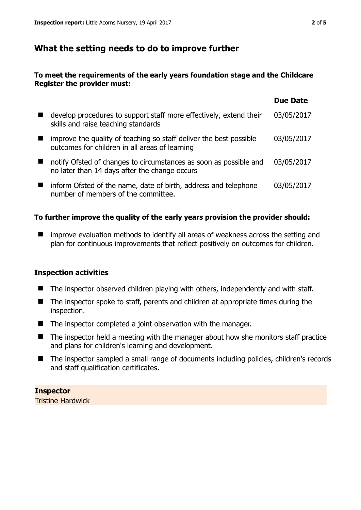# **What the setting needs to do to improve further**

## **To meet the requirements of the early years foundation stage and the Childcare Register the provider must:**

|                                                                                                                      | <b>Due Date</b> |
|----------------------------------------------------------------------------------------------------------------------|-----------------|
| develop procedures to support staff more effectively, extend their<br>skills and raise teaching standards            | 03/05/2017      |
| improve the quality of teaching so staff deliver the best possible<br>outcomes for children in all areas of learning | 03/05/2017      |
| notify Ofsted of changes to circumstances as soon as possible and<br>no later than 14 days after the change occurs   | 03/05/2017      |
| inform Ofsted of the name, date of birth, address and telephone<br>number of members of the committee.               | 03/05/2017      |

## **To further improve the quality of the early years provision the provider should:**

■ improve evaluation methods to identify all areas of weakness across the setting and plan for continuous improvements that reflect positively on outcomes for children.

## **Inspection activities**

- $\blacksquare$  The inspector observed children playing with others, independently and with staff.
- The inspector spoke to staff, parents and children at appropriate times during the inspection.
- The inspector completed a joint observation with the manager.
- The inspector held a meeting with the manager about how she monitors staff practice and plans for children's learning and development.
- The inspector sampled a small range of documents including policies, children's records and staff qualification certificates.

## **Inspector**

Tristine Hardwick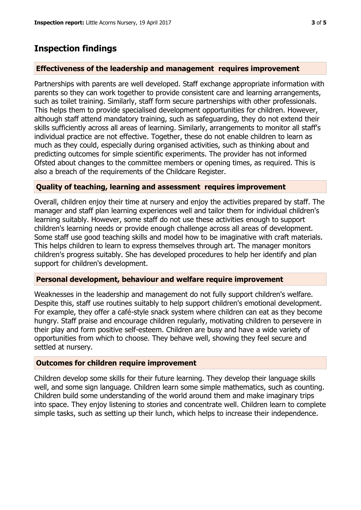## **Inspection findings**

#### **Effectiveness of the leadership and management requires improvement**

Partnerships with parents are well developed. Staff exchange appropriate information with parents so they can work together to provide consistent care and learning arrangements, such as toilet training. Similarly, staff form secure partnerships with other professionals. This helps them to provide specialised development opportunities for children. However, although staff attend mandatory training, such as safeguarding, they do not extend their skills sufficiently across all areas of learning. Similarly, arrangements to monitor all staff's individual practice are not effective. Together, these do not enable children to learn as much as they could, especially during organised activities, such as thinking about and predicting outcomes for simple scientific experiments. The provider has not informed Ofsted about changes to the committee members or opening times, as required. This is also a breach of the requirements of the Childcare Register.

#### **Quality of teaching, learning and assessment requires improvement**

Overall, children enjoy their time at nursery and enjoy the activities prepared by staff. The manager and staff plan learning experiences well and tailor them for individual children's learning suitably. However, some staff do not use these activities enough to support children's learning needs or provide enough challenge across all areas of development. Some staff use good teaching skills and model how to be imaginative with craft materials. This helps children to learn to express themselves through art. The manager monitors children's progress suitably. She has developed procedures to help her identify and plan support for children's development.

#### **Personal development, behaviour and welfare require improvement**

Weaknesses in the leadership and management do not fully support children's welfare. Despite this, staff use routines suitably to help support children's emotional development. For example, they offer a café-style snack system where children can eat as they become hungry. Staff praise and encourage children regularly, motivating children to persevere in their play and form positive self-esteem. Children are busy and have a wide variety of opportunities from which to choose. They behave well, showing they feel secure and settled at nursery.

#### **Outcomes for children require improvement**

Children develop some skills for their future learning. They develop their language skills well, and some sign language. Children learn some simple mathematics, such as counting. Children build some understanding of the world around them and make imaginary trips into space. They enjoy listening to stories and concentrate well. Children learn to complete simple tasks, such as setting up their lunch, which helps to increase their independence.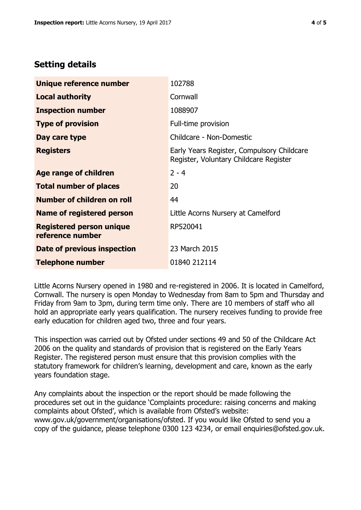# **Setting details**

| Unique reference number                             | 102788                                                                               |
|-----------------------------------------------------|--------------------------------------------------------------------------------------|
| <b>Local authority</b>                              | Cornwall                                                                             |
| <b>Inspection number</b>                            | 1088907                                                                              |
| <b>Type of provision</b>                            | Full-time provision                                                                  |
| Day care type                                       | Childcare - Non-Domestic                                                             |
| <b>Registers</b>                                    | Early Years Register, Compulsory Childcare<br>Register, Voluntary Childcare Register |
| Age range of children                               | $2 - 4$                                                                              |
| <b>Total number of places</b>                       | 20                                                                                   |
| Number of children on roll                          | 44                                                                                   |
| Name of registered person                           | Little Acorns Nursery at Camelford                                                   |
| <b>Registered person unique</b><br>reference number | RP520041                                                                             |
| Date of previous inspection                         | 23 March 2015                                                                        |
| <b>Telephone number</b>                             | 01840 212114                                                                         |

Little Acorns Nursery opened in 1980 and re-registered in 2006. It is located in Camelford, Cornwall. The nursery is open Monday to Wednesday from 8am to 5pm and Thursday and Friday from 9am to 3pm, during term time only. There are 10 members of staff who all hold an appropriate early years qualification. The nursery receives funding to provide free early education for children aged two, three and four years.

This inspection was carried out by Ofsted under sections 49 and 50 of the Childcare Act 2006 on the quality and standards of provision that is registered on the Early Years Register. The registered person must ensure that this provision complies with the statutory framework for children's learning, development and care, known as the early years foundation stage.

Any complaints about the inspection or the report should be made following the procedures set out in the guidance 'Complaints procedure: raising concerns and making complaints about Ofsted', which is available from Ofsted's website: www.gov.uk/government/organisations/ofsted. If you would like Ofsted to send you a copy of the guidance, please telephone 0300 123 4234, or email enquiries@ofsted.gov.uk.